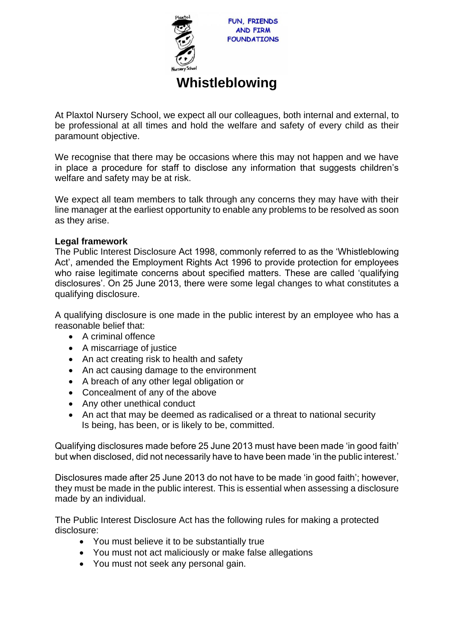

FUN, FRIENDS **AND FIRM FOUNDATIONS** 

## **Whistleblowing**

At Plaxtol Nursery School, we expect all our colleagues, both internal and external, to be professional at all times and hold the welfare and safety of every child as their paramount objective.

We recognise that there may be occasions where this may not happen and we have in place a procedure for staff to disclose any information that suggests children's welfare and safety may be at risk.

We expect all team members to talk through any concerns they may have with their line manager at the earliest opportunity to enable any problems to be resolved as soon as they arise.

## **Legal framework**

The Public Interest Disclosure Act 1998, commonly referred to as the 'Whistleblowing Act', amended the Employment Rights Act 1996 to provide protection for employees who raise legitimate concerns about specified matters. These are called 'qualifying disclosures'. On 25 June 2013, there were some legal changes to what constitutes a qualifying disclosure.

A qualifying disclosure is one made in the public interest by an employee who has a reasonable belief that:

- A criminal offence
- A miscarriage of justice
- An act creating risk to health and safety
- An act causing damage to the environment
- A breach of any other legal obligation or
- Concealment of any of the above
- Any other unethical conduct
- An act that may be deemed as radicalised or a threat to national security Is being, has been, or is likely to be, committed.

Qualifying disclosures made before 25 June 2013 must have been made 'in good faith' but when disclosed, did not necessarily have to have been made 'in the public interest.'

Disclosures made after 25 June 2013 do not have to be made 'in good faith'; however, they must be made in the public interest. This is essential when assessing a disclosure made by an individual.

The Public Interest Disclosure Act has the following rules for making a protected disclosure:

- You must believe it to be substantially true
- You must not act maliciously or make false allegations
- You must not seek any personal gain.